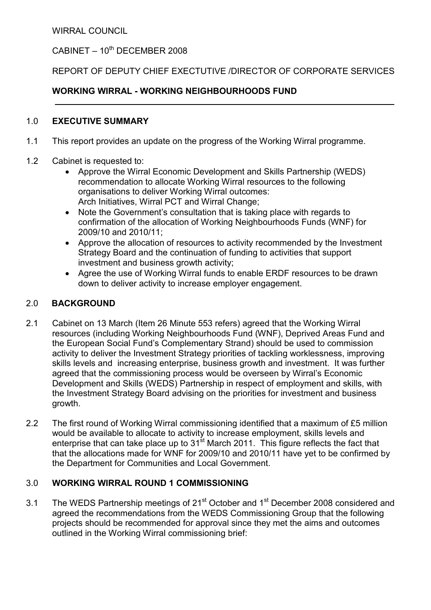WIRRAL COUNCIL

# $C$ ABINET – 10<sup>th</sup> DECEMBER 2008

## REPORT OF DEPUTY CHIEF EXECTUTIVE /DIRECTOR OF CORPORATE SERVICES

## WORKING WIRRAL - WORKING NEIGHBOURHOODS FUND

#### 1.0 EXECUTIVE SUMMARY

- 1.1 This report provides an update on the progress of the Working Wirral programme.
- 1.2 Cabinet is requested to:
	- Approve the Wirral Economic Development and Skills Partnership (WEDS) recommendation to allocate Working Wirral resources to the following organisations to deliver Working Wirral outcomes: Arch Initiatives, Wirral PCT and Wirral Change;
	- Note the Government's consultation that is taking place with regards to confirmation of the allocation of Working Neighbourhoods Funds (WNF) for 2009/10 and 2010/11;
	- Approve the allocation of resources to activity recommended by the Investment Strategy Board and the continuation of funding to activities that support investment and business growth activity;
	- Agree the use of Working Wirral funds to enable ERDF resources to be drawn down to deliver activity to increase employer engagement.

### 2.0 BACKGROUND

- 2.1 Cabinet on 13 March (Item 26 Minute 553 refers) agreed that the Working Wirral resources (including Working Neighbourhoods Fund (WNF), Deprived Areas Fund and the European Social Fund's Complementary Strand) should be used to commission activity to deliver the Investment Strategy priorities of tackling worklessness, improving skills levels and increasing enterprise, business growth and investment. It was further agreed that the commissioning process would be overseen by Wirral's Economic Development and Skills (WEDS) Partnership in respect of employment and skills, with the Investment Strategy Board advising on the priorities for investment and business growth.
- 2.2 The first round of Working Wirral commissioning identified that a maximum of £5 million would be available to allocate to activity to increase employment, skills levels and enterprise that can take place up to 31<sup>st</sup> March 2011. This figure reflects the fact that that the allocations made for WNF for 2009/10 and 2010/11 have yet to be confirmed by the Department for Communities and Local Government.

## 3.0 WORKING WIRRAL ROUND 1 COMMISSIONING

3.1 The WEDS Partnership meetings of 21<sup>st</sup> October and 1<sup>st</sup> December 2008 considered and agreed the recommendations from the WEDS Commissioning Group that the following projects should be recommended for approval since they met the aims and outcomes outlined in the Working Wirral commissioning brief: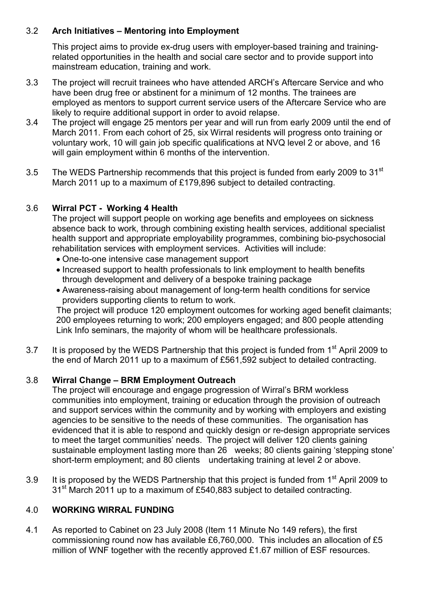## 3.2 Arch Initiatives – Mentoring into Employment

This project aims to provide ex-drug users with employer-based training and trainingrelated opportunities in the health and social care sector and to provide support into mainstream education, training and work.

- 3.3 The project will recruit trainees who have attended ARCH's Aftercare Service and who have been drug free or abstinent for a minimum of 12 months. The trainees are employed as mentors to support current service users of the Aftercare Service who are likely to require additional support in order to avoid relapse.
- 3.4 The project will engage 25 mentors per year and will run from early 2009 until the end of March 2011. From each cohort of 25, six Wirral residents will progress onto training or voluntary work, 10 will gain job specific qualifications at NVQ level 2 or above, and 16 will gain employment within 6 months of the intervention.
- 3.5 The WEDS Partnership recommends that this project is funded from early 2009 to 31<sup>st</sup> March 2011 up to a maximum of £179,896 subject to detailed contracting.

# 3.6 Wirral PCT - Working 4 Health

The project will support people on working age benefits and employees on sickness absence back to work, through combining existing health services, additional specialist health support and appropriate employability programmes, combining bio-psychosocial rehabilitation services with employment services. Activities will include:

- One-to-one intensive case management support
- Increased support to health professionals to link employment to health benefits through development and delivery of a bespoke training package
- Awareness-raising about management of long-term health conditions for service providers supporting clients to return to work.

The project will produce 120 employment outcomes for working aged benefit claimants; 200 employees returning to work; 200 employers engaged; and 800 people attending Link Info seminars, the majority of whom will be healthcare professionals.

3.7 It is proposed by the WEDS Partnership that this project is funded from 1<sup>st</sup> April 2009 to the end of March 2011 up to a maximum of £561,592 subject to detailed contracting.

# 3.8 Wirral Change – BRM Employment Outreach

The project will encourage and engage progression of Wirral's BRM workless communities into employment, training or education through the provision of outreach and support services within the community and by working with employers and existing agencies to be sensitive to the needs of these communities. The organisation has evidenced that it is able to respond and quickly design or re-design appropriate services to meet the target communities' needs. The project will deliver 120 clients gaining sustainable employment lasting more than 26 weeks; 80 clients gaining 'stepping stone' short-term employment; and 80 clients undertaking training at level 2 or above.

3.9 It is proposed by the WEDS Partnership that this proiect is funded from 1<sup>st</sup> April 2009 to 31<sup>st</sup> March 2011 up to a maximum of £540,883 subject to detailed contracting.

### 4.0 WORKING WIRRAL FUNDING

4.1 As reported to Cabinet on 23 July 2008 (Item 11 Minute No 149 refers), the first commissioning round now has available £6,760,000. This includes an allocation of £5 million of WNF together with the recently approved £1.67 million of ESF resources.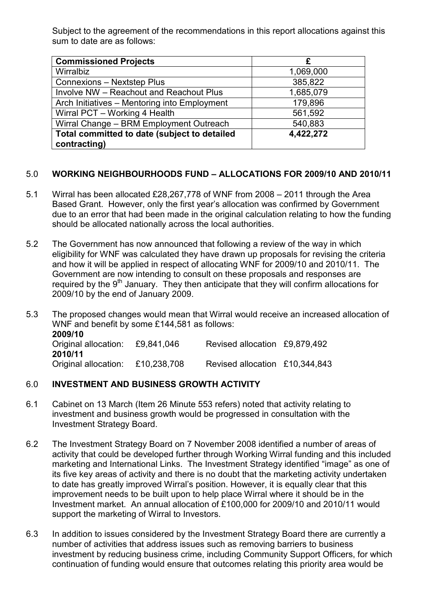Subject to the agreement of the recommendations in this report allocations against this sum to date are as follows:

| <b>Commissioned Projects</b>                 | £         |
|----------------------------------------------|-----------|
| Wirralbiz                                    | 1,069,000 |
| <b>Connexions - Nextstep Plus</b>            | 385,822   |
| Involve NW - Reachout and Reachout Plus      | 1,685,079 |
| Arch Initiatives - Mentoring into Employment | 179,896   |
| Wirral PCT - Working 4 Health                | 561,592   |
| Wirral Change - BRM Employment Outreach      | 540,883   |
| Total committed to date (subject to detailed | 4,422,272 |
| contracting)                                 |           |

#### 5.0 WORKING NEIGHBOURHOODS FUND – ALLOCATIONS FOR 2009/10 AND 2010/11

- 5.1 Wirral has been allocated £28,267,778 of WNF from 2008 2011 through the Area Based Grant. However, only the first year's allocation was confirmed by Government due to an error that had been made in the original calculation relating to how the funding should be allocated nationally across the local authorities.
- 5.2 The Government has now announced that following a review of the way in which eligibility for WNF was calculated they have drawn up proposals for revising the criteria and how it will be applied in respect of allocating WNF for 2009/10 and 2010/11. The Government are now intending to consult on these proposals and responses are required by the 9<sup>th</sup> January. They then anticipate that they will confirm allocations for 2009/10 by the end of January 2009.
- 5.3 The proposed changes would mean that Wirral would receive an increased allocation of WNF and benefit by some £144,581 as follows: 2009/10 Original allocation: £9,841,046 Revised allocation £9,879,492 2010/11 Original allocation: £10,238,708 Revised allocation £10,344,843

#### 6.0 INVESTMENT AND BUSINESS GROWTH ACTIVITY

- 6.1 Cabinet on 13 March (Item 26 Minute 553 refers) noted that activity relating to investment and business growth would be progressed in consultation with the Investment Strategy Board.
- 6.2 The Investment Strategy Board on 7 November 2008 identified a number of areas of activity that could be developed further through Working Wirral funding and this included marketing and International Links. The Investment Strategy identified "image" as one of its five key areas of activity and there is no doubt that the marketing activity undertaken to date has greatly improved Wirral's position. However, it is equally clear that this improvement needs to be built upon to help place Wirral where it should be in the Investment market. An annual allocation of £100,000 for 2009/10 and 2010/11 would support the marketing of Wirral to Investors.
- 6.3 In addition to issues considered by the Investment Strategy Board there are currently a number of activities that address issues such as removing barriers to business investment by reducing business crime, including Community Support Officers, for which continuation of funding would ensure that outcomes relating this priority area would be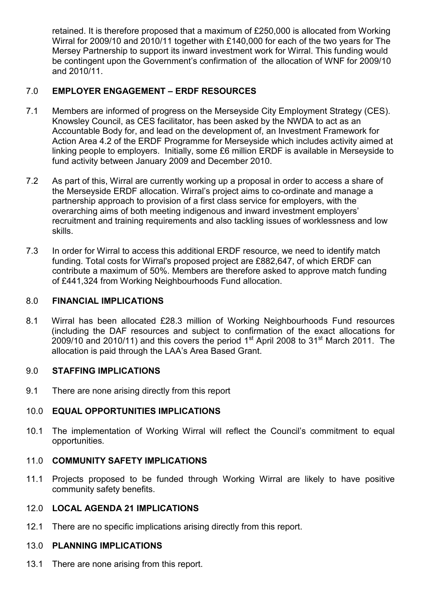retained. It is therefore proposed that a maximum of £250,000 is allocated from Working Wirral for 2009/10 and 2010/11 together with £140,000 for each of the two years for The Mersey Partnership to support its inward investment work for Wirral. This funding would be contingent upon the Government's confirmation of the allocation of WNF for 2009/10 and 2010/11.

## 7.0 EMPLOYER ENGAGEMENT – ERDF RESOURCES

- 7.1 Members are informed of progress on the Merseyside City Employment Strategy (CES). Knowsley Council, as CES facilitator, has been asked by the NWDA to act as an Accountable Body for, and lead on the development of, an Investment Framework for Action Area 4.2 of the ERDF Programme for Merseyside which includes activity aimed at linking people to employers. Initially, some £6 million ERDF is available in Merseyside to fund activity between January 2009 and December 2010.
- 7.2 As part of this, Wirral are currently working up a proposal in order to access a share of the Merseyside ERDF allocation. Wirral's project aims to co-ordinate and manage a partnership approach to provision of a first class service for employers, with the overarching aims of both meeting indigenous and inward investment employers' recruitment and training requirements and also tackling issues of worklessness and low skills.
- 7.3 In order for Wirral to access this additional ERDF resource, we need to identify match funding. Total costs for Wirral's proposed project are £882,647, of which ERDF can contribute a maximum of 50%. Members are therefore asked to approve match funding of £441,324 from Working Neighbourhoods Fund allocation.

### 8.0 FINANCIAL IMPLICATIONS

8.1 Wirral has been allocated £28.3 million of Working Neighbourhoods Fund resources (including the DAF resources and subject to confirmation of the exact allocations for 2009/10 and 2010/11) and this covers the period  $1<sup>st</sup>$  April 2008 to 31<sup>st</sup> March 2011. The allocation is paid through the LAA's Area Based Grant.

### 9.0 STAFFING IMPLICATIONS

9.1 There are none arising directly from this report

### 10.0 EQUAL OPPORTUNITIES IMPLICATIONS

10.1 The implementation of Working Wirral will reflect the Council's commitment to equal opportunities.

#### 11.0 COMMUNITY SAFETY IMPLICATIONS

11.1 Projects proposed to be funded through Working Wirral are likely to have positive community safety benefits.

### 12.0 LOCAL AGENDA 21 IMPLICATIONS

12.1 There are no specific implications arising directly from this report.

# 13.0 PLANNING IMPLICATIONS

13.1 There are none arising from this report.